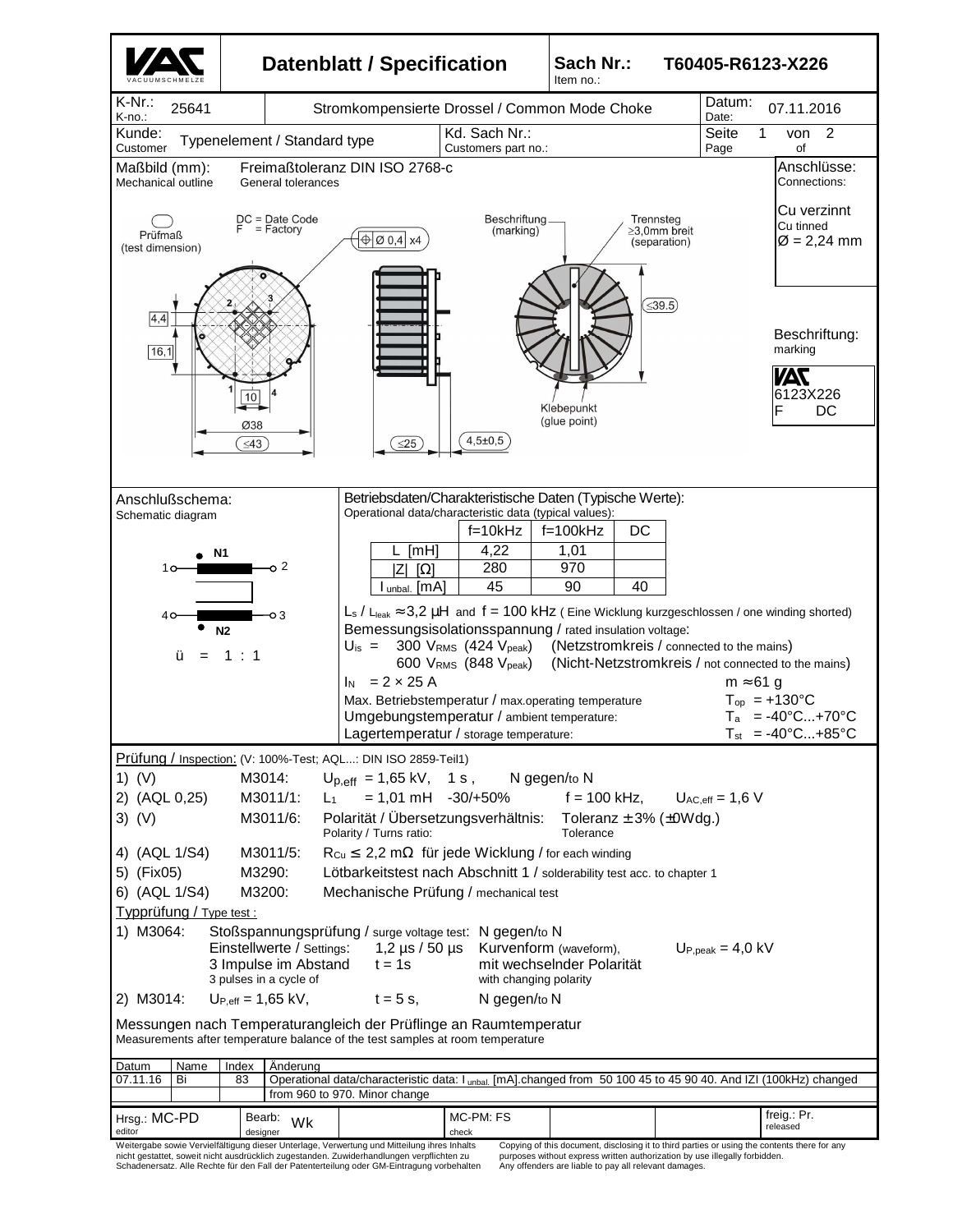